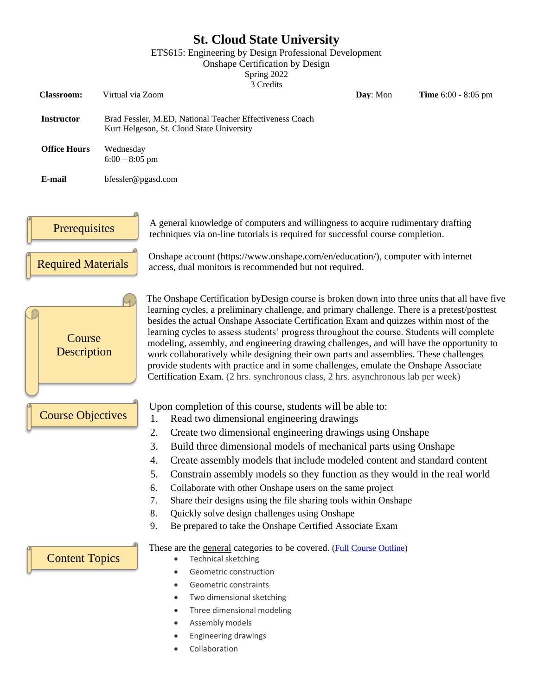# **St. Cloud State University**

ETS615: Engineering by Design Professional Development

Onshape Certification by Design

Spring 2022

|                           |                                                                                                       |                                                                                                                                                                    |                                                                                                                                                                                                                                                                                                                                                                                                                                                                                                                                                                                                                                                                                                                                                                                                                                                                                                                                           |                                                                                                                                                                                                      | 3 Credits |  |                                               |                                                                                                                                                                                                                                                             |  |                                                                                                                                                        |
|---------------------------|-------------------------------------------------------------------------------------------------------|--------------------------------------------------------------------------------------------------------------------------------------------------------------------|-------------------------------------------------------------------------------------------------------------------------------------------------------------------------------------------------------------------------------------------------------------------------------------------------------------------------------------------------------------------------------------------------------------------------------------------------------------------------------------------------------------------------------------------------------------------------------------------------------------------------------------------------------------------------------------------------------------------------------------------------------------------------------------------------------------------------------------------------------------------------------------------------------------------------------------------|------------------------------------------------------------------------------------------------------------------------------------------------------------------------------------------------------|-----------|--|-----------------------------------------------|-------------------------------------------------------------------------------------------------------------------------------------------------------------------------------------------------------------------------------------------------------------|--|--------------------------------------------------------------------------------------------------------------------------------------------------------|
| <b>Classroom:</b>         | Virtual via Zoom                                                                                      |                                                                                                                                                                    |                                                                                                                                                                                                                                                                                                                                                                                                                                                                                                                                                                                                                                                                                                                                                                                                                                                                                                                                           |                                                                                                                                                                                                      |           |  |                                               | Day: Mon                                                                                                                                                                                                                                                    |  | <b>Time</b> 6:00 - 8:05 pm                                                                                                                             |
| <b>Instructor</b>         | Brad Fessler, M.ED, National Teacher Effectiveness Coach<br>Kurt Helgeson, St. Cloud State University |                                                                                                                                                                    |                                                                                                                                                                                                                                                                                                                                                                                                                                                                                                                                                                                                                                                                                                                                                                                                                                                                                                                                           |                                                                                                                                                                                                      |           |  |                                               |                                                                                                                                                                                                                                                             |  |                                                                                                                                                        |
| <b>Office Hours</b>       | Wednesday<br>$6:00 - 8:05$ pm                                                                         |                                                                                                                                                                    |                                                                                                                                                                                                                                                                                                                                                                                                                                                                                                                                                                                                                                                                                                                                                                                                                                                                                                                                           |                                                                                                                                                                                                      |           |  |                                               |                                                                                                                                                                                                                                                             |  |                                                                                                                                                        |
| E-mail                    | bfessler@pgasd.com                                                                                    |                                                                                                                                                                    |                                                                                                                                                                                                                                                                                                                                                                                                                                                                                                                                                                                                                                                                                                                                                                                                                                                                                                                                           |                                                                                                                                                                                                      |           |  |                                               |                                                                                                                                                                                                                                                             |  |                                                                                                                                                        |
|                           |                                                                                                       |                                                                                                                                                                    |                                                                                                                                                                                                                                                                                                                                                                                                                                                                                                                                                                                                                                                                                                                                                                                                                                                                                                                                           |                                                                                                                                                                                                      |           |  |                                               |                                                                                                                                                                                                                                                             |  |                                                                                                                                                        |
| Prerequisites             |                                                                                                       | A general knowledge of computers and willingness to acquire rudimentary drafting<br>techniques via on-line tutorials is required for successful course completion. |                                                                                                                                                                                                                                                                                                                                                                                                                                                                                                                                                                                                                                                                                                                                                                                                                                                                                                                                           |                                                                                                                                                                                                      |           |  |                                               |                                                                                                                                                                                                                                                             |  |                                                                                                                                                        |
| <b>Required Materials</b> |                                                                                                       | Onshape account (https://www.onshape.com/en/education/), computer with internet<br>access, dual monitors is recommended but not required.                          |                                                                                                                                                                                                                                                                                                                                                                                                                                                                                                                                                                                                                                                                                                                                                                                                                                                                                                                                           |                                                                                                                                                                                                      |           |  |                                               |                                                                                                                                                                                                                                                             |  |                                                                                                                                                        |
|                           | Course<br>Description<br><b>Course Objectives</b>                                                     |                                                                                                                                                                    | The Onshape Certification by Design course is broken down into three units that all have five<br>learning cycles, a preliminary challenge, and primary challenge. There is a pretest/posttest<br>besides the actual Onshape Associate Certification Exam and quizzes within most of the<br>learning cycles to assess students' progress throughout the course. Students will complete<br>modeling, assembly, and engineering drawing challenges, and will have the opportunity to<br>work collaboratively while designing their own parts and assemblies. These challenges<br>provide students with practice and in some challenges, emulate the Onshape Associate<br>Certification Exam. (2 hrs. synchronous class, 2 hrs. asynchronous lab per week)<br>Upon completion of this course, students will be able to:<br>Read two dimensional engineering drawings<br>1.<br>2.<br>Create two dimensional engineering drawings using Onshape |                                                                                                                                                                                                      |           |  |                                               |                                                                                                                                                                                                                                                             |  |                                                                                                                                                        |
|                           |                                                                                                       | 3.<br>4.<br>5.<br>6.<br>7.<br>8.<br>9.                                                                                                                             |                                                                                                                                                                                                                                                                                                                                                                                                                                                                                                                                                                                                                                                                                                                                                                                                                                                                                                                                           |                                                                                                                                                                                                      |           |  | Quickly solve design challenges using Onshape | Build three dimensional models of mechanical parts using Onshape<br>Collaborate with other Onshape users on the same project<br>Share their designs using the file sharing tools within Onshape<br>Be prepared to take the Onshape Certified Associate Exam |  | Create assembly models that include modeled content and standard content<br>Constrain assembly models so they function as they would in the real world |
| <b>Content Topics</b>     |                                                                                                       | $\bullet$                                                                                                                                                          |                                                                                                                                                                                                                                                                                                                                                                                                                                                                                                                                                                                                                                                                                                                                                                                                                                                                                                                                           | <b>Technical sketching</b><br>Geometric construction<br>Geometric constraints<br>Two dimensional sketching<br>Three dimensional modeling<br>Assembly models<br>Engineering drawings<br>Collaboration |           |  |                                               | These are the general categories to be covered. (Full Course Outline)                                                                                                                                                                                       |  |                                                                                                                                                        |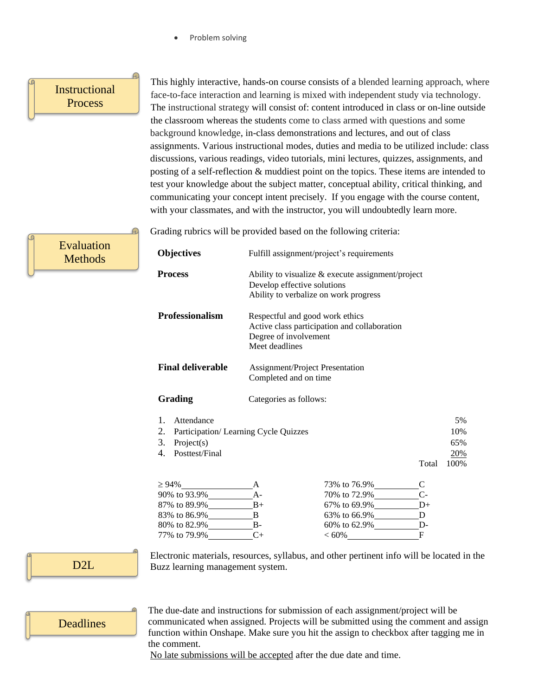Problem solving

### Instructional **Process**

Evaluation **Methods** 

This highly interactive, hands-on course consists of a blended learning approach, where face-to-face interaction and learning is mixed with independent study via technology. The instructional strategy will consist of: content introduced in class or on-line outside the classroom whereas the students come to class armed with questions and some background knowledge, in-class demonstrations and lectures, and out of class assignments. Various instructional modes, duties and media to be utilized include: class discussions, various readings, video tutorials, mini lectures, quizzes, assignments, and posting of a self-reflection & muddiest point on the topics. These items are intended to test your knowledge about the subject matter, conceptual ability, critical thinking, and communicating your concept intent precisely. If you engage with the course content, with your classmates, and with the instructor, you will undoubtedly learn more.

Grading rubrics will be provided based on the following criteria:

| <b>Objectives</b>                                                                                                    | Fulfill assignment/project's requirements                                                                                                                                                                                                               |                                                                                              |                              |  |  |  |  |  |
|----------------------------------------------------------------------------------------------------------------------|---------------------------------------------------------------------------------------------------------------------------------------------------------------------------------------------------------------------------------------------------------|----------------------------------------------------------------------------------------------|------------------------------|--|--|--|--|--|
| <b>Process</b>                                                                                                       | Ability to visualize & execute assignment/project<br>Develop effective solutions<br>Ability to verbalize on work progress<br>Respectful and good work ethics<br>Active class participation and collaboration<br>Degree of involvement<br>Meet deadlines |                                                                                              |                              |  |  |  |  |  |
| <b>Professionalism</b>                                                                                               |                                                                                                                                                                                                                                                         |                                                                                              |                              |  |  |  |  |  |
| <b>Final deliverable</b>                                                                                             | <b>Assignment/Project Presentation</b><br>Completed and on time                                                                                                                                                                                         |                                                                                              |                              |  |  |  |  |  |
| Grading                                                                                                              | Categories as follows:                                                                                                                                                                                                                                  |                                                                                              |                              |  |  |  |  |  |
| 1.<br>Attendance<br>2.<br>Participation/ Learning Cycle Quizzes<br>3.<br>Project(s)<br>Posttest/Final<br>4.<br>Total |                                                                                                                                                                                                                                                         |                                                                                              |                              |  |  |  |  |  |
| $\geq 94\%$<br>83% to 86.9%                                                                                          | A<br>$A-$<br>$B+$<br>B<br>$B -$                                                                                                                                                                                                                         | 73% to 76.9%<br>70% to 72.9%<br>67% to 69.9% ___________D+<br>63% to 66.9% D<br>60% to 62.9% | $\mathsf{C}$<br>$C-$<br>$D-$ |  |  |  |  |  |
| 77% to 79.9%                                                                                                         | $C+$                                                                                                                                                                                                                                                    | $<60\%$                                                                                      | $\mathbf{F}$                 |  |  |  |  |  |

D2L

Electronic materials, resources, syllabus, and other pertinent info will be located in the Buzz learning management system.

### **Deadlines**

The due-date and instructions for submission of each assignment/project will be communicated when assigned. Projects will be submitted using the comment and assign function within Onshape. Make sure you hit the assign to checkbox after tagging me in the comment.

No late submissions will be accepted after the due date and time.